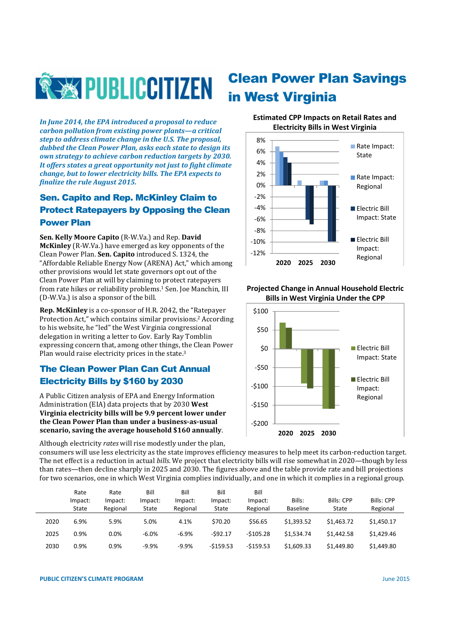

*In June 2014, the EPA introduced a proposal to reduce carbon pollution from existing power plants—a critical step to address climate change in the U.S. The proposal, dubbed the Clean Power Plan, asks each state to design its own strategy to achieve carbon reduction targets by 2030. It offers states a great opportunity not just to fight climate change, but to lower electricity bills. The EPA expects to finalize the rule August 2015.* 

## Sen. Capito and Rep. McKinley Claim to Protect Ratepayers by Opposing the Clean Power Plan

**Sen. Kelly Moore Capito** (R-W.Va.) and Rep. **David McKinley** (R-W.Va.) have emerged as key opponents of the Clean Power Plan. **Sen. Capito** introduced S. 1324, the "Affordable Reliable Energy Now (ARENA) Act," which among other provisions would let state governors opt out of the Clean Power Plan at will by claiming to protect ratepayers from rate hikes or reliability problems.<sup>1</sup> Sen. Joe Manchin, III (D-W.Va.) is also a sponsor of the bill.

**Rep. McKinley** is a co-sponsor of H.R. 2042, the "Ratepayer Protection Act," which contains similar provisions.2 According to his website, he "led" the West Virginia congressional delegation in writing a letter to Gov. Early Ray Tomblin expressing concern that, among other things, the Clean Power Plan would raise electricity prices in the state.<sup>3</sup>

### The Clean Power Plan Can Cut Annual Electricity Bills by \$160 by 2030

A Public Citizen analysis of EPA and Energy Information Administration (EIA) data projects that by 2030 **West Virginia electricity bills will be 9.9 percent lower under the Clean Power Plan than under a business-as-usual scenario, saving the average household \$160 annually**.

Although electricity *rates* will rise modestly under the plan,

# Clean Power Plan Savings in West Virginia

#### **Estimated CPP Impacts on Retail Rates and Electricity Bills in West Virginia**



#### **Projected Change in Annual Household Electric Bills in West Virginia Under the CPP**



consumers will use less electricity as the state improves efficiency measures to help meet its carbon-reduction target. The net effect is a reduction in actual *bills*. We project that electricity bills will rise somewhat in 2020—though by less than rates—then decline sharply in 2025 and 2030. The figures above and the table provide rate and bill projections for two scenarios, one in which West Virginia complies individually, and one in which it complies in a regional group.

|      | Rate             | Rate                | Bill             | Bill                | Bill             | Bill                |                           |                            |                        |
|------|------------------|---------------------|------------------|---------------------|------------------|---------------------|---------------------------|----------------------------|------------------------|
|      | Impact:<br>State | Impact:<br>Regional | Impact:<br>State | Impact:<br>Regional | Impact:<br>State | Impact:<br>Regional | Bills:<br><b>Baseline</b> | <b>Bills: CPP</b><br>State | Bills: CPP<br>Regional |
| 2020 | 6.9%             | 5.9%                | 5.0%             | 4.1%                | \$70.20          | \$56.65             | \$1.393.52                | \$1,463.72                 | \$1,450.17             |
| 2025 | 0.9%             | 0.0%                | $-6.0%$          | $-6.9%$             | -\$92.17         | $-5105.28$          | \$1.534.74                | \$1,442.58                 | \$1.429.46             |
| 2030 | 0.9%             | 0.9%                | $-9.9%$          | $-9.9%$             | $-5159.53$       | $-5159.53$          | \$1,609.33                | \$1,449.80                 | \$1,449.80             |